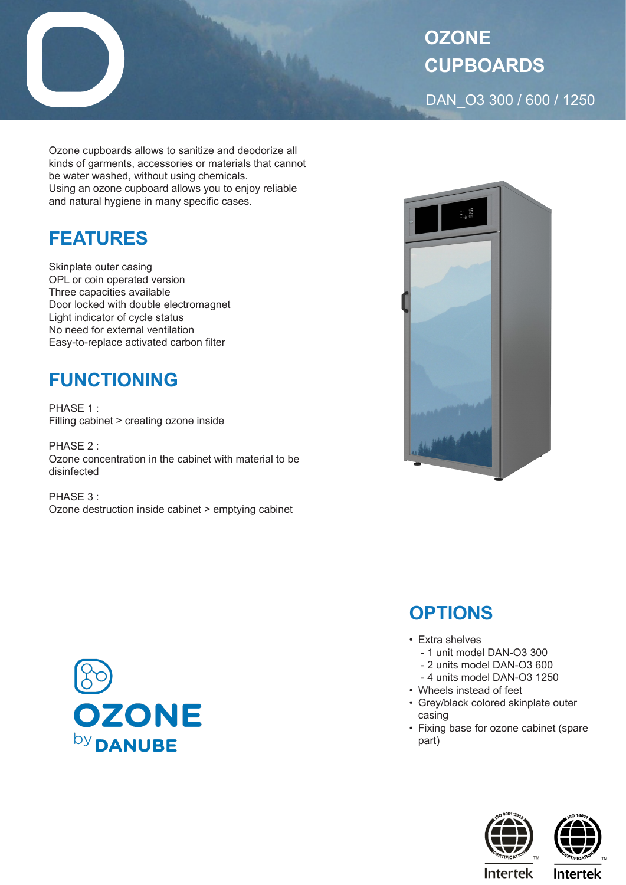

Ozone cupboards allows to sanitize and deodorize all kinds of garments, accessories or materials that cannot be water washed, without using chemicals. Using an ozone cupboard allows you to enjoy reliable and natural hygiene in many specific cases.

## **FEATURES**

Skinplate outer casing OPL or coin operated version Three capacities available Door locked with double electromagnet Light indicator of cycle status No need for external ventilation Easy-to-replace activated carbon filter

## **FUNCTIONING**

PHASE 1 : Filling cabinet > creating ozone inside

PHASE 2 : Ozone concentration in the cabinet with material to be disinfected

PHASE 3 : Ozone destruction inside cabinet > emptying cabinet





## **OPTIONS**

- Extra shelves
	- 1 unit model DAN-O3 300
	- 2 units model DAN-O3 600
	- 4 units model DAN-O3 1250
- Wheels instead of feet
- Grey/black colored skinplate outer casing
- Fixing base for ozone cabinet (spare part)





**Intertek** 

**Intertek**